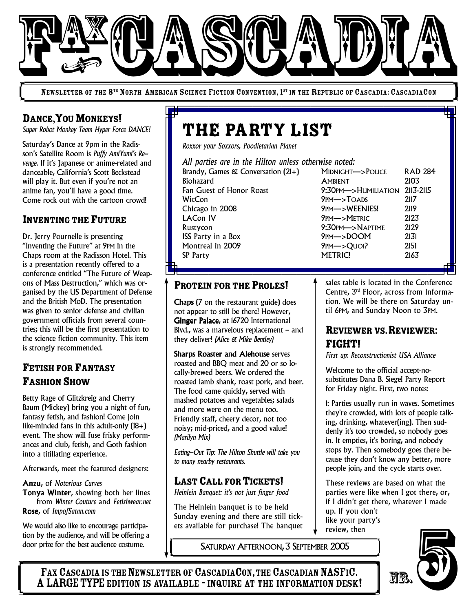

NEWSLETTER OF THE 8<sup>th</sup> North American Science Fiction Convention, 1<sup>st</sup> in the Republic of Cascadia: CascadiaCon

## DANCE, YOU MONKEYS!

*Super Robot Monkey Team Hyper Force DANCE!*

Saturday's Dance at 9pm in the Radisson's Satellite Room is *Puffy AmiYumi's Revenge*. If it's Japanese or anime-related and danceable, California's Scott Beckstead will play it. But even if you're not an anime fan, you'll have a good time. Come rock out with the cartoon crowd!

#### INVENTING THE FUTURE

Dr. Jerry Pournelle is presenting "Inventing the Future" at 9PM in the Chaps room at the Radisson Hotel. This is a presentation recently offered to a conference entitled "The Future of Weapons of Mass Destruction," which was organised by the US Department of Defense and the British MoD. The presentation was given to senior defense and civilian government officials from several countries; this will be the first presentation to the science fiction community. This item is strongly recommended.

# FETISH FOR FANTASY **FASHION SHOW**

Betty Rage of Glitzkreig and Cherry Baum (Mickey) bring you a night of fun, fantasy fetish, and fashion! Come join like-minded fans in this adult-only (18+) event. The show will fuse frisky performances and club, fetish, and Goth fashion into a titillating experience.

Afterwards, meet the featured designers:

#### Anzu, of *Notorious Curves*

Tonya Winter, showing both her lines from *Winter Couture* and *Fetishwear.net* Rose, of *ImpofSatan.com*

We would also like to encourage participation by the audience, and will be offering a door prize for the best audience costume.

# THE PARTY LIST

*Roxxor your Soxxors, Poodletarian Planet*

*All parties are in the Hilton unless otherwise noted:*

Brandy, Games & Conversation (21+) MIDNIGHT—>POLICE RAD 284 Biohazard **AMBIENT** 2103 Fan Guest of Honor Roast 9:30PM—>HUMILIATION 2113-2115 WicCon 9PM—>TOADS 2117 Chicago in 2008 9PM—>WEENIES! 2119 LACon IV 9PM—>METRIC 2123 Rustycon 9:30PM—>NAPTIME 2129 ISS Party in a Box 9PM—>DOOM 2131 Montreal in 2009 9PM—>QuOI? 2151 SP Party 2163

#### PROTEIN FOR THE PROLES!

Chaps (7 on the restaurant guide) does not appear to still be there! However, Ginger Palace, at 16720 International Blvd., was a marvelous replacement – and they deliver! *(Alice & Mike Bentley)*

Sharps Roaster and Alehouse serves roasted and BBQ meat and 20 or so locally-brewed beers. We ordered the roasted lamb shank, roast pork, and beer. The food came quickly, served with mashed potatoes and vegetables; salads and more were on the menu too. Friendly staff, cheery decor, not too noisy; mid-priced, and a good value! *(Marilyn Mix)*

*Eating-Out Tip: The Hilton Shuttle will take you to many nearby restaurants.*

#### LAST CALL FOR TICKETS!

*Heinlein Banquet: it's not just finger food*

The Heinlein banquet is to be held Sunday evening and there are still tickets available for purchase! The banquet

SATURDAY AFTERNOON, 3 SEPTEMBER 2005

sales table is located in the Conference Centre, 3 rd Floor, across from Information. We will be there on Saturday until 6PM, and Sunday Noon to 3PM.

### REVIEWER VS. REVIEWER: FIGHT!

*First up: Reconstructionist USA Alliance*

Welcome to the official accept-nosubstitutes Dana B. Siegel Party Report for Friday night. First, two notes:

1: Parties usually run in waves. Sometimes they're crowded, with lots of people talking, drinking, whatever(ing). Then suddenly it's too crowded, so nobody goes in. It empties, it's boring, and nobody stops by. Then somebody goes there because they don't know any better, more people join, and the cycle starts over.

These reviews are based on what the parties were like when I got there, or, if I didn't get there, whatever I made up. If you don't like your party's review, then



FAX CASCADIA IS THE NEWSLETTER OF CASCADIACON, THE CASCADIAN NASFIC. A LARGE TYPE EDITION IS AVAILABLE - INQUIRE AT THE INFORMATION DESK!